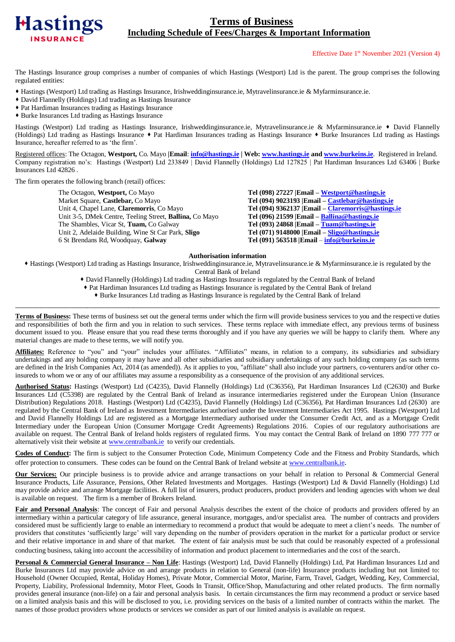

# **Terms of Business Including Schedule of Fees/Charges & Important Information**

## Effective Date 1 st November 2021 (Version 4)

The Hastings Insurance group comprises a number of companies of which Hastings (Westport) Ltd is the parent. The group comprises the following regulated entities:

- Hastings (Westport) Ltd trading as Hastings Insurance, Irishweddinginsurance.ie, Mytravelinsurance.ie & Myfarminsurance.ie.
- David Flannelly (Holdings) Ltd trading as Hastings Insurance
- Pat Hardiman Insurances trading as Hastings Insurance
- Burke Insurances Ltd trading as Hastings Insurance

Hastings (Westport) Ltd trading as Hastings Insurance, Irishweddinginsurance.ie, Mytravelinsurance.ie & Myfarminsurance.ie • David Flannelly (Holdings) Ltd trading as Hastings Insurance Pat Hardiman Insurances trading as Hastings Insurance Burke Insurances Ltd trading as Hastings Insurance, hereafter referred to as 'the firm'.

Registered offices: The Octagon, **Westport,** Co. Mayo **|Email**: **[info@hastings.ie](mailto:info@hastings.ie) | Web: [www.hastings.ie](http://www.hastings.ie/) an[d www.burkeins.ie](http://www.burkeins.ie/)**. Registered in Ireland. Company registration no's: Hastings (Westport) Ltd 233849 | David Flannelly (Holdings) Ltd 127825 | Pat Hardiman Insurances Ltd 63406 | Burke Insurances Ltd 42826 .

The firm operates the following branch (retail) offices:

The Octagon, **Westport,** Co Mayo **Tel (098) 27227 |Email – [Westport@hastings.ie](mailto:Westport@hastings.ie)** Market Square, **Castlebar,** Co Mayo **Tel (094) 9023193 |Email – [Castlebar@hastings.ie](mailto:Castlebar@hastings.ie)** Unit 4, Chapel Lane, **Claremorris**, Co Mayo<br>
Unit 3-5, DMek Centre, Teeling Street, **Ballina**, Co Mayo<br>
Tel (096) 21599 |Email – Ballina @hastings.ie Unit 3-5, DMek Centre, Teeling Street, **Ballina**, Co Mayo The Shambles, Vicar St, **Tuam,** Co Galway **Tel (093) 24868 | Email – <u>[Tuam@hastings.ie](mailto:Tuam@hastings.ie)</u>**<br>
Unit 2, Adelaide Building, Wine St Car Park, Sligo **Tel (071) 9148000 | Email – Sligo**@hastings.ie 6 St Brendans Rd, Woodquay, **Galway Tel (091) 563518 |Email** – **[info@burkeins.ie](mailto:info@burkeins.ie)**

Unit 2, Adelaide Building, Wine St Car Park, **Sligo Tel (071) 9148000 |Email – [Sligo@hastings.ie](mailto:Sligo@hastings.ie)**

#### **Authorisation information**

 Hastings (Westport) Ltd trading as Hastings Insurance, Irishweddinginsurance.ie, Mytravelinsurance.ie & Myfarminsurance.ie is regulated by the Central Bank of Ireland

- David Flannelly (Holdings) Ltd trading as Hastings Insurance is regulated by the Central Bank of Ireland
- Pat Hardiman Insurances Ltd trading as Hastings Insurance is regulated by the Central Bank of Ireland
- Burke Insurances Ltd trading as Hastings Insurance is regulated by the Central Bank of Ireland \_\_\_\_\_\_\_\_\_\_\_\_\_\_\_\_\_\_\_\_\_\_\_\_\_\_\_\_\_\_\_\_\_\_\_\_\_\_\_\_\_\_\_\_\_\_\_\_\_\_\_\_\_\_\_\_\_\_\_\_\_\_\_\_\_\_\_\_\_\_\_\_\_\_\_\_\_\_\_\_\_\_\_\_\_\_\_\_\_\_\_\_\_\_\_\_\_\_\_\_\_

**Terms of Business:** These terms of business set out the general terms under which the firm will provide business services to you and the respective duties and responsibilities of both the firm and you in relation to such services. These terms replace with immediate effect, any previous terms of business document issued to you. Please ensure that you read these terms thoroughly and if you have any queries we will be happy to clarify them. Where any material changes are made to these terms, we will notify you.

Affiliates: Reference to "you" and "your" includes your affiliates. "Affiliates" means, in relation to a company, its subsidiaries and subsidiary undertakings and any holding company it may have and all other subsidiaries and subsidiary undertakings of any such holding company (as such terms are defined in the Irish Companies Act, 2014 (as amended)). As it applies to you, "affiliate" shall also include your partners, co-venturers and/or other coinsureds to whom we or any of our affiliates may assume a responsibility as a consequence of the provision of any additional services.

**Authorised Status:** Hastings (Westport) Ltd (C4235), David Flannelly (Holdings) Ltd (C36356), Pat Hardiman Insurances Ltd (C2630) and Burke Insurances Ltd (C5398) are regulated by the Central Bank of Ireland as insurance intermediaries registered under the European Union (Insurance Distribution) Regulations 2018. Hastings (Westport) Ltd (C4235), David Flannelly (Holdings) Ltd (C36356), Pat Hardiman Insurances Ltd (2630) are regulated by the Central Bank of Ireland as Investment Intermediaries authorised under the Investment Intermediaries Act 1995. Hastings (Westport) Ltd and David Flannelly Holdings Ltd are registered as a Mortgage Intermediary authorised under the Consumer Credit Act, and as a Mortgage Credit Intermediary under the European Union (Consumer Mortgage Credit Agreements) Regulations 2016. Copies of our regulatory authorisations are available on request. The Central Bank of Ireland holds registers of regulated firms. You may contact the Central Bank of Ireland on 1890 777 777 or alternatively visit their website at [www.centralbank.ie](http://www.centralbank.ie/) to verify our credentials.

**Codes of Conduct:** The firm is subject to the Consumer Protection Code, Minimum Competency Code and the Fitness and Probity Standards, which offer protection to consumers. These codes can be found on the Central Bank of Ireland website a[t www.centralbank.ie](http://www.centralbank.ie/).

**Our Services:** Our principle business is to provide advice and arrange transactions on your behalf in relation to Personal & Commercial General Insurance Products, Life Assurance, Pensions, Other Related Investments and Mortgages. Hastings (Westport) Ltd & David Flannelly (Holdings) Ltd may provide advice and arrange Mortgage facilities. A full list of insurers, product producers, product providers and lending agencies with whom we deal is available on request. The firm is a member of Brokers Ireland.

Fair and Personal Analysis: The concept of Fair and personal Analysis describes the extent of the choice of products and providers offered by an intermediary within a particular category of life assurance, general insurance, mortgages, and/or specialist area. The number of contracts and providers considered must be sufficiently large to enable an intermediary to recommend a product that would be adequate to meet a client's needs. The number of providers that constitutes 'sufficiently large' will vary depending on the number of providers operation in the market for a particular product or service and their relative importance in and share of that market. The extent of fair analysis must be such that could be reasonably expected of a professional conducting business, taking into account the accessibility of information and product placement to intermediaries and the cost of the search.

**Personal & Commercial General Insurance – Non Life**: Hastings (Westport) Ltd, David Flannelly (Holdings) Ltd, Pat Hardiman Insurances Ltd and Burke Insurances Ltd may provide advice on and arrange products in relation to General (non-life) Insurance products including but not limited to: Household (Owner Occupied, Rental, Holiday Homes), Private Motor, Commercial Motor, Marine, Farm, Travel, Gadget, Wedding, Key, Commercial, Property, Liability, Professional Indemnity, Motor Fleet, Goods In Transit, Office/Shop, Manufacturing and other related products. The firm normally provides general insurance (non-life) on a fair and personal analysis basis. In certain circumstances the firm may recommend a product or service based on a limited analysis basis and this will be disclosed to you, i.e. providing services on the basis of a limited number of contracts within the market. The names of those product providers whose products or services we consider as part of our limited analysis is available on request.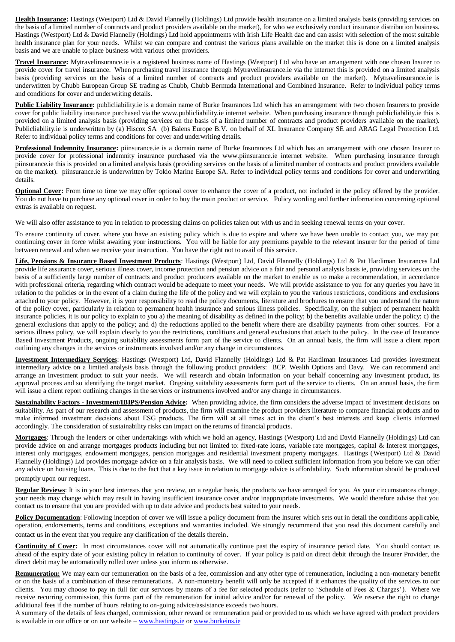**Health Insurance:** Hastings (Westport) Ltd & David Flannelly (Holdings) Ltd provide health insurance on a limited analysis basis (providing services on the basis of a limited number of contracts and product providers available on the market), for who we exclusively conduct insurance distribution business. Hastings (Westport) Ltd & David Flannelly (Holdings) Ltd hold appointments with Irish Life Health dac and can assist with selection of the most suitable health insurance plan for your needs. Whilst we can compare and contrast the various plans available on the market this is done on a limited analysis basis and we are unable to place business with various other providers.

**Travel Insurance:** Mytravelinsurance.ie is a registered business name of Hastings (Westport) Ltd who have an arrangement with one chosen Insurer to provide cover for travel insurance. When purchasing travel insurance through Mytravelinsurance.ie via the internet this is provided on a limited analysis basis (providing services on the basis of a limited number of contracts and product providers available on the market). Mytravelinsurance.ie is underwritten by Chubb European Group SE trading as Chubb, Chubb Bermuda International and Combined Insurance. Refer to individual policy terms and conditions for cover and underwriting details.

**Public Liability Insurance:** publicliability.ie is a domain name of Burke Insurances Ltd which has an arrangement with two chosen Insurers to provide cover for public liability insurance purchased via the www.publicliability.ie internet website. When purchasing insurance through publicliability.ie this is provided on a limited analysis basis (providing services on the basis of a limited number of contracts and product providers available on the market). Publicliability.ie is underwritten by (a) Hiscox SA (b) Balens Europe B.V. on behalf of XL Insurance Company SE and ARAG Legal Protection Ltd. Refer to individual policy terms and conditions for cover and underwriting details.

**Professional Indemnity Insurance:** piinsurance.ie is a domain name of Burke Insurances Ltd which has an arrangement with one chosen Insurer to provide cover for professional indemnity insurance purchased via the www.piinsurance.ie internet website. When purchasing insurance through piinsurance.ie this is provided on a limited analysis basis (providing services on the basis of a limited number of contracts and product providers available on the market). piinsurance.ie is underwritten by Tokio Marine Europe SA. Refer to individual policy terms and conditions for cover and underwriting details.

**Optional Cover:** From time to time we may offer optional cover to enhance the cover of a product, not included in the policy offered by the provider. You do not have to purchase any optional cover in order to buy the main product or service. Policy wording and further information concerning optional extras is available on request.

We will also offer assistance to you in relation to processing claims on policies taken out with us and in seeking renewal terms on your cover.

To ensure continuity of cover, where you have an existing policy which is due to expire and where we have been unable to contact you, we may put continuing cover in force whilst awaiting your instructions. You will be liable for any premiums payable to the relevant insurer for the period of time between renewal and when we receive your instruction. You have the right not to avail of this service.

**Life, Pensions & Insurance Based Investment Products**: Hastings (Westport) Ltd, David Flannelly (Holdings) Ltd & Pat Hardiman Insurances Ltd provide life assurance cover, serious illness cover, income protection and pension advice on a fair and personal analysis basis ie, providing services on the basis of a sufficiently large number of contracts and product producers available on the market to enable us to make a recommendation, in accordance with professional criteria, regarding which contract would be adequate to meet your needs. We will provide assistance to you for any queries you have in relation to the policies or in the event of a claim during the life of the policy and we will explain to you the various restrictions, conditions and exclusions attached to your policy. However, it is your responsibility to read the policy documents, literature and brochures to ensure that you understand the nature of the policy cover, particularly in relation to permanent health insurance and serious illness policies. Specifically, on the subject of permanent health insurance policies, it is our policy to explain to you a) the meaning of disability as defined in the policy; b) the benefits available under the policy; c) the general exclusions that apply to the policy; and d) the reductions applied to the benefit where there are disability payments from other sources. For a serious illness policy, we will explain clearly to you the restrictions, conditions and general exclusions that attach to the policy. In the case of Insurance Based Investment Products, ongoing suitability assessments form part of the service to clients. On an annual basis, the firm will issue a client report outlining any changes in the services or instruments involved and/or any change in circumstances.

**Investment Intermediary Services**: Hastings (Westport) Ltd, David Flannelly (Holdings) Ltd & Pat Hardiman Insurances Ltd provides investment intermediary advice on a limited analysis basis through the following product providers: BCP. Wealth Options and Davy. We can recommend and arrange an investment product to suit your needs. We will research and obtain information on your behalf concerning any investment product, its approval process and so identifying the target market. Ongoing suitability assessments form part of the service to clients. On an annual basis, the firm will issue a client report outlining changes in the services or instruments involved and/or any change in circumstances.

**Sustainability Factors - Investment/IBIPS/Pension Advice:** When providing advice, the firm considers the adverse impact of investment decisions on suitability. As part of our research and assessment of products, the firm will examine the product providers literature to compare financial products and to make informed investment decisions about ESG products. The firm will at all times act in the client's best interests and keep clients informed accordingly. The consideration of sustainability risks can impact on the returns of financial products.

**Mortgages**: Through the lenders or other undertakings with which we hold an agency, Hastings (Westport) Ltd and David Flannelly (Holdings) Ltd can provide advice on and arrange mortgages products including but not limited to: fixed-rate loans, variable rate mortgages, capital & Interest mortgages, interest only mortgages, endowment mortgages, pension mortgages and residential investment property mortgages. Hastings (Westport) Ltd & David Flannelly (Holdings) Ltd provides mortgage advice on a fair analysis basis. We will need to collect sufficient information from you before we can offer any advice on housing loans. This is due to the fact that a key issue in relation to mortgage advice is affordability. Such information should be produced promptly upon our request.

**Regular Reviews**: It is in your best interests that you review, on a regular basis, the products we have arranged for you. As your circumstances change, your needs may change which may result in having insufficient insurance cover and/or inappropriate investments. We would therefore advise that you contact us to ensure that you are provided with up to date advice and products best suited to your needs.

**Policy Documentation**: Following inception of cover we will issue a policy document from the Insurer which sets out in detail the conditions applicable, operation, endorsements, terms and conditions, exceptions and warranties included. We strongly recommend that you read this document carefully and contact us in the event that you require any clarification of the details therein.

**Continuity of Cover:** In most circumstances cover will not automatically continue past the expiry of insurance period date. You should contact us ahead of the expiry date of your existing policy in relation to continuity of cover. If your policy is paid on direct debit through the Insurer Provider, the direct debit may be automatically rolled over unless you inform us otherwise.

**Remuneration:** We may earn our remuneration on the basis of a fee, commission and any other type of remuneration, including a non-monetary benefit or on the basis of a combination of these remunerations. A non-monetary benefit will only be accepted if it enhances the quality of the services to our clients. You may choose to pay in full for our services by means of a fee for selected products (refer to 'Schedule of Fees & Charges'). Where we receive recurring commission, this forms part of the remuneration for initial advice and/or for renewal of the policy. We reserve the right to charge additional fees if the number of hours relating to on-going advice/assistance exceeds two hours.

A summary of the details of fees charged, commission, other reward or remuneration paid or provided to us which we have agreed with product providers is available in our office or on our website – [www.hastings.ie](http://www.hastings.ie/) o[r www.burkeins.ie](http://www.burkeins.ie/)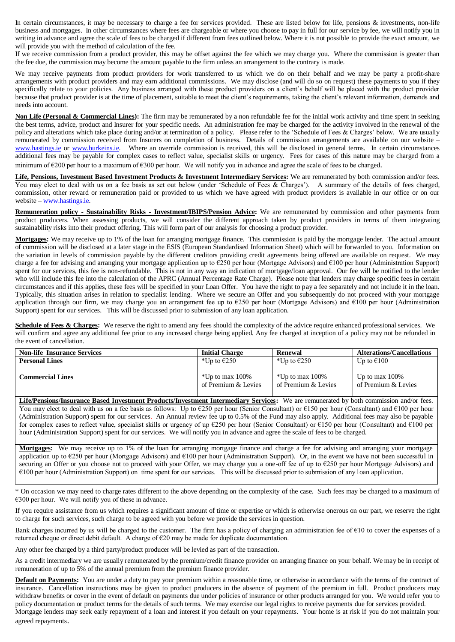In certain circumstances, it may be necessary to charge a fee for services provided. These are listed below for life, pensions & investments, non-life business and mortgages. In other circumstances where fees are chargeable or where you choose to pay in full for our service by fee, we will notify you in writing in advance and agree the scale of fees to be charged if different from fees outlined below. Where it is not possible to provide the exact amount, we will provide you with the method of calculation of the fee.

If we receive commission from a product provider, this may be offset against the fee which we may charge you. Where the commission is greater than the fee due, the commission may become the amount payable to the firm unless an arrangement to the contrary is made.

We may receive payments from product providers for work transferred to us which we do on their behalf and we may be party a profit-share arrangements with product providers and may earn additional commissions. We may disclose (and will do so on request) these payments to you if they specifically relate to your policies. Any business arranged with these product providers on a client's behalf will be placed with the product provider because that product provider is at the time of placement, suitable to meet the client's requirements, taking the client's relevant information, demands and needs into account.

Non Life (Personal & Commercial Lines): The firm may be remunerated by a non refundable fee for the initial work activity and time spent in seeking the best terms, advice, product and Insurer for your specific needs. An administration fee may be charged for the activity involved in the renewal of the policy and alterations which take place during and/or at termination of a policy. Please refer to the 'Schedule of Fees & Charges' below. We are usually remunerated by commission received from Insurers on completion of business. Details of commission arrangements are available on our website – [www.hastings.ie](http://www.hastings.ie/) or [www.burkeins.ie.](http://www.burkeins.ie/) Where an override commission is received, this will be disclosed in general terms. In certain circumstances additional fees may be payable for complex cases to reflect value, specialist skills or urgency. Fees for cases of this nature may be charged from a minimum of  $\epsilon$ 200 per hour to a maximum of  $\epsilon$ 300 per hour. We will notify you in advance and agree the scale of fees to be charged.

Life, Pensions, Investment Based Investment Products & Investment Intermediary Services: We are remunerated by both commission and/or fees. You may elect to deal with us on a fee basis as set out below (under 'Schedule of Fees & Charges'). A summary of the details of fees charged, commission, other reward or remuneration paid or provided to us which we have agreed with product providers is available in our office or on our website – [www.hastings.ie.](http://www.hastings.ie/)

**Remuneration policy - Sustainability Risks - Investment/IBIPS/Pension Advice:** We are remunerated by commission and other payments from product producers. When assessing products, we will consider the different approach taken by product providers in terms of them integrating sustainability risks into their product offering. This will form part of our analysis for choosing a product provider.

**Mortgages:** We may receive up to 1% of the loan for arranging mortgage finance. This commission is paid by the mortgage lender. The actual amount of commission will be disclosed at a later stage in the ESIS (European Standardised Information Sheet) which will be forwarded to you. Information on the variation in levels of commission payable by the different creditors providing credit agreements being offered are available on request. We may charge a fee for advising and arranging your mortgage application up to €250 per hour (Mortgage Advisors) and €100 per hour (Administration Support) spent for our services, this fee is non-refundable. This is not in any way an indication of mortgage/loan approval. Our fee will be notified to the lender who will include this fee into the calculation of the APRC (Annual Percentage Rate Charge). Please note that lenders may charge specific fees in certain circumstances and if this applies, these fees will be specified in your Loan Offer. You have the right to pay a fee separately and not include it in the loan. Typically, this situation arises in relation to specialist lending. Where we secure an Offer and you subsequently do not proceed with your mortgage application through our firm, we may charge you an arrangement fee up to €250 per hour (Mortgage Advisors) and €100 per hour (Administration Support) spent for our services. This will be discussed prior to submission of any loan application.

**Schedule of Fees & Charges:** We reserve the right to amend any fees should the complexity of the advice require enhanced professional services. We will confirm and agree any additional fee prior to any increased charge being applied. Any fee charged at inception of a poli cy may not be refunded in the event of cancellation.

| <b>Non-life Insurance Services</b> | <b>Initial Charge</b> | <b>Renewal</b>        | Alterations/Cancellations |
|------------------------------------|-----------------------|-----------------------|---------------------------|
| <b>Personal Lines</b>              | *Up to $\epsilon$ 250 | *Up to $\epsilon$ 250 | Up to $\epsilon$ 100      |
|                                    |                       |                       |                           |
| Commercial Lines                   | *Up to max 100%       | *Up to max 100%       | Up to max $100\%$         |
|                                    | of Premium & Levies   | of Premium & Levies   | of Premium & Levies       |
|                                    |                       |                       |                           |

**Life/Pensions/Insurance Based Investment Products/Investment Intermediary Services:** We are remunerated by both commission and/or fees. You may elect to deal with us on a fee basis as follows: Up to  $\epsilon$ 250 per hour (Senior Consultant) or  $\epsilon$ 150 per hour (Consultant) and  $\epsilon$ 100 per hour (Administration Support) spent for our services. An Annual review fee up to 0.5% of the Fund may also apply. Additional fees may also be payable for complex cases to reflect value, specialist skills or urgency of up €250 per hour (Senior Consultant) or €150 per hour (Consultant) and €100 per hour (Administration Support) spent for our services. We will notify you in advance and agree the scale of fees to be charged.

**Mortgages:** We may receive up to 1% of the loan for arranging mortgage finance and charge a fee for advising and arranging your mortgage application up to  $\epsilon$ 250 per hour (Mortgage Advisors) and  $\epsilon$ 100 per hour (Administration Support). Or, in the event we have not been successful in securing an Offer or you choose not to proceed with your Offer, we may charge you a one-off fee of up to €250 per hour Mortgage Advisors) and  $€100$  per hour (Administration Support) on time spent for our services. This will be discussed prior to submission of any loan application.

\* On occasion we may need to charge rates different to the above depending on the complexity of the case. Such fees may be charged to a maximum of €300 per hour. We will notify you of these in advance.

If you require assistance from us which requires a significant amount of time or expertise or which is otherwise onerous on our part, we reserve the right to charge for such services, such charge to be agreed with you before we provide the services in question.

Bank charges incurred by us will be charged to the customer. The firm has a policy of charging an administration fee of  $\epsilon$ 10 to cover the expenses of a returned cheque or direct debit default. A charge of  $\epsilon$ 20 may be made for duplicate documentation.

Any other fee charged by a third party/product producer will be levied as part of the transaction.

As a credit intermediary we are usually remunerated by the premium/credit finance provider on arranging finance on your behalf. We may be in receipt of remuneration of up to 5% of the annual premium from the premium finance provider.

**Default on Payments:** You are under a duty to pay your premium within a reasonable time, or otherwise in accordance with the terms of the contract of insurance. Cancellation instructions may be given to product producers in the absence of payment of the premium in full. Product producers may withdraw benefits or cover in the event of default on payments due under policies of insurance or other products arranged for you. We would refer you to policy documentation or product terms for the details of such terms. We may exercise our legal rights to receive payments due for services provided. Mortgage lenders may seek early repayment of a loan and interest if you default on your repayments. Your home is at risk if you do not maintain your agreed repayments.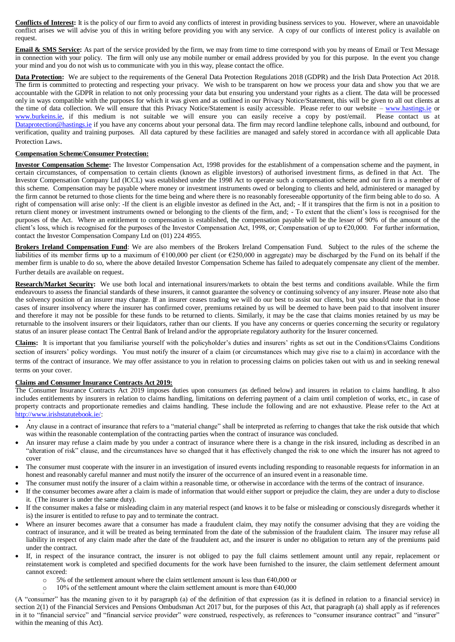**Conflicts of Interest:** It is the policy of our firm to avoid any conflicts of interest in providing business services to you. However, where an unavoidable conflict arises we will advise you of this in writing before providing you with any service. A copy of our conflicts of interest policy is available on request.

**Email & SMS Service:** As part of the service provided by the firm, we may from time to time correspond with you by means of Email or Text Message in connection with your policy. The firm will only use any mobile number or email address provided by you for this purpose. In the event you change your mind and you do not wish us to communicate with you in this way, please contact the office.

**Data Protection:** We are subject to the requirements of the General Data Protection Regulations 2018 (GDPR) and the Irish Data Protection Act 2018. The firm is committed to protecting and respecting your privacy. We wish to be transparent on how we process your data and show you that we are accountable with the GDPR in relation to not only processing your data but ensuring you understand your rights as a client. The data will be processed only in ways compatible with the purposes for which it was given and as outlined in our Privacy Notice/Statement, this will be given to all out clients at the time of data collection. We will ensure that this Privacy Notice/Statement is easily accessible. Please refer to our website – [www.hastings.ie](http://www.hastings.ie/) or [www.burkeins.ie,](http://www.burkeins.ie/) if this medium is not suitable we will ensure you can easily receive a copy by post/email. Please contact us at [Dataprotection@hastings.ie](mailto:Dataprotection@hastings.ie) if you have any concerns about your personal data. The firm may record landline telephone calls, inbound and outbound, for verification, quality and training purposes. All data captured by these facilities are managed and safely stored in accordance with all applicable Data Protection Laws.

# **Compensation Scheme/Consumer Protection:**

**Investor Compensation Scheme:** The Investor Compensation Act, 1998 provides for the establishment of a compensation scheme and the payment, in certain circumstances, of compensation to certain clients (known as eligible investors) of authorised investment firms, as defined in that Act. The Investor Compensation Company Ltd (ICCL) was established under the 1998 Act to operate such a compensation scheme and our firm is a member of this scheme. Compensation may be payable where money or investment instruments owed or belonging to clients and held, administered or managed by the firm cannot be returned to those clients for the time being and where there is no reasonably foreseeable opportunity of the firm being able to do so. A right of compensation will arise only: -If the client is an eligible investor as defined in the Act, and; - If it transpires that the firm is not in a position to return client money or investment instruments owned or belonging to the clients of the firm, and; - To extent that the client's loss is recognised for the purposes of the Act. Where an entitlement to compensation is established, the compensation payable will be the lesser of 90% of the amount of the client's loss, which is recognised for the purposes of the Investor Compensation Act, 1998, or; Compensation of up to  $\epsilon$ 20,000. For further information, contact the Investor Compensation Company Ltd on (01) 224 4955.

**Brokers Ireland Compensation Fund**: We are also members of the Brokers Ireland Compensation Fund. Subject to the rules of the scheme the liabilities of its member firms up to a maximum of  $\epsilon$ 100,000 per client (or  $\epsilon$ 250,000 in aggregate) may be discharged by the Fund on its behalf if the member firm is unable to do so, where the above detailed Investor Compensation Scheme has failed to adequately compensate any client of the member. Further details are available on request.

**Research/Market Security:** We use both local and international insurers/markets to obtain the best terms and conditions available. While the firm endeavours to assess the financial standards of these insurers, it cannot guarantee the solvency or continuing solvency of any insurer. Please note also that the solvency position of an insurer may change. If an insurer ceases trading we will do our best to assist our clients, but you should note that in those cases of insurer insolvency where the insurer has confirmed cover, premiums retained by us will be deemed to have been paid to that insolvent insurer and therefore it may not be possible for these funds to be returned to clients. Similarly, it may be the case that claims monies retained by us may be returnable to the insolvent insurers or their liquidators, rather than our clients. If you have any concerns or queries concerning the security or regulatory status of an insurer please contact The Central Bank of Ireland and/or the appropriate regulatory authority for the Insurer concerned.

**Claims:** It is important that you familiarise yourself with the policyholder's duties and insurers' rights as set out in the Conditions/Claims Conditions section of insurers' policy wordings. You must notify the insurer of a claim (or circumstances which may give rise to a claim) in accordance with the terms of the contract of insurance. We may offer assistance to you in relation to processing claims on policies taken out with us and in seeking renewal terms on your cover.

## **Claims and Consumer Insurance Contracts Act 2019:**

.

o

The Consumer Insurance Contracts Act 2019 imposes duties upon consumers (as defined below) and insurers in relation to claims handling. It also includes entitlements by insurers in relation to claims handling, limitations on deferring payment of a claim until completion of works, etc., in case of property contracts and proportionate remedies and claims handling. These include the following and are not exhaustive. Please refer to the Act at [http://www.irishstatutebook.ie/:](http://www.irishstatutebook.ie/)

- Any clause in a contract of insurance that refers to a "material change" shall be interpreted as referring to changes that take the risk outside that which was within the reasonable contemplation of the contracting parties when the contract of insurance was concluded.
- An insurer may refuse a claim made by you under a contract of insurance where there is a change in the risk insured, including as described in an "alteration of risk" clause, and the circumstances have so changed that it has effectively changed the risk to one which the insurer has not agreed to cover
- The consumer must cooperate with the insurer in an investigation of insured events including responding to reasonable requests for information in an honest and reasonably careful manner and must notify the insurer of the occurrence of an insured event in a reasonable time.
- The consumer must notify the insurer of a claim within a reasonable time, or otherwise in accordance with the terms of the contract of insurance.
- If the consumer becomes aware after a claim is made of information that would either support or prejudice the claim, they are under a duty to disclose it. (The insurer is under the same duty).
- If the consumer makes a false or misleading claim in any material respect (and knows it to be false or misleading or consciously disregards whether it is) the insurer is entitled to refuse to pay and to terminate the contract.
- Where an insurer becomes aware that a consumer has made a fraudulent claim, they may notify the consumer advising that they are voiding the contract of insurance, and it will be treated as being terminated from the date of the submission of the fraudulent claim. The insurer may refuse all liability in respect of any claim made after the date of the fraudulent act, and the insurer is under no obligation to return any of the premiums paid under the contract.
- If, in respect of the insurance contract, the insurer is not obliged to pay the full claims settlement amount until any repair, replacement or reinstatement work is completed and specified documents for the work have been furnished to the insurer, the claim settlement deferment amount cannot exceed:
	- $\circ$  5% of the settlement amount where the claim settlement amount is less than  $\epsilon$ 40,000 or
	- o 10% of the settlement amount where the claim settlement amount is more than  $\epsilon$ 40,000

(A "consumer" has the meaning given to it by paragraph (a) of the definition of that expression (as it is defined in relation to a financial service) in section 2(1) of the Financial Services and Pensions Ombudsman Act 2017 but, for the purposes of this Act, that paragraph (a) shall apply as if references in it to "financial service" and "financial service provider" were construed, respectively, as references to "consumer insurance contract" and "insurer" within the meaning of this Act).